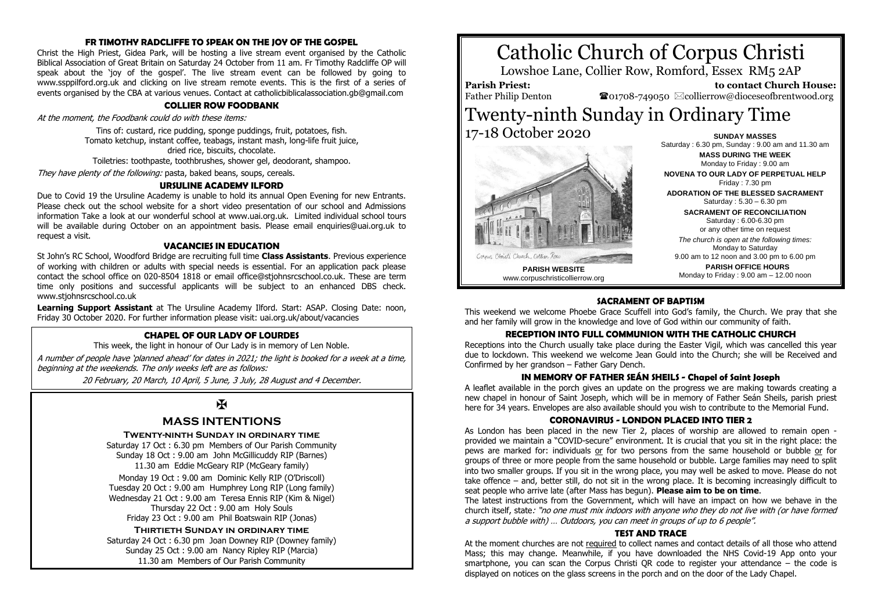#### **FR TIMOTHY RADCLIFFE TO SPEAK ON THE JOY OF THE GOSPEL**

Christ the High Priest, Gidea Park, will be hosting a live stream event organised by the Catholic Biblical Association of Great Britain on Saturday 24 October from 11 am. Fr Timothy Radcliffe OP will speak about the 'joy of the gospel'. The live stream event can be followed by going to www.ssppilford.org.uk and clicking on live stream remote events. This is the first of a series of events organised by the CBA at various venues. Contact at catholicbiblicalassociation.gb@gmail.com

#### **COLLIER ROW FOODBANK**

At the moment, the Foodbank could do with these items:

Tins of: custard, rice pudding, sponge puddings, fruit, potatoes, fish. Tomato ketchup, instant coffee, teabags, instant mash, long-life fruit juice, dried rice, biscuits, chocolate.

Toiletries: toothpaste, toothbrushes, shower gel, deodorant, shampoo.

They have plenty of the following: pasta, baked beans, soups, cereals.

#### **URSULINE ACADEMY ILFORD**

Due to Covid 19 the Ursuline Academy is unable to hold its annual Open Evening for new Entrants. Please check out the school website for a short video presentation of our school and Admissions information Take a look at our wonderful school at www.uai.org.uk. Limited individual school tours will be available during October on an appointment basis. Please email enquiries@uai.org.uk to request a visit.

#### **VACANCIES IN EDUCATION**

St John's RC School, Woodford Bridge are recruiting full time **Class Assistants**. Previous experience of working with children or adults with special needs is essential. For an application pack please contact the school office on 020-8504 1818 or email office@stjohnsrcschool.co.uk. These are term time only positions and successful applicants will be subject to an enhanced DBS check. www.stjohnsrcschool.co.uk

**Learning Support Assistant** at The Ursuline Academy Ilford. Start: ASAP. Closing Date: noon, Friday 30 October 2020. For further information please visit: uai.org.uk/about/vacancies

# **CHAPEL OF OUR LADY OF LOURDES**

This week, the light in honour of Our Lady is in memory of Len Noble.

A number of people have 'planned ahead' for dates in 2021; the light is booked for a week at a time, beginning at the weekends. The only weeks left are as follows:

20 February, 20 March, 10 April, 5 June, 3 July, 28 August and 4 December.

# $\overline{\mathbf{X}}$

# **MASS INTENTIONS**

#### **Twenty-ninth Sunday in ordinary time**

Saturday 17 Oct : 6.30 pm Members of Our Parish Community Sunday 18 Oct : 9.00 am John McGillicuddy RIP (Barnes) 11.30 am Eddie McGeary RIP (McGeary family)

Monday 19 Oct : 9.00 am Dominic Kelly RIP (O'Driscoll) Tuesday 20 Oct : 9.00 am Humphrey Long RIP (Long family) Wednesday 21 Oct : 9.00 am Teresa Ennis RIP (Kim & Nigel) Thursday 22 Oct : 9.00 am Holy Souls Friday 23 Oct : 9.00 am Phil Boatswain RIP (Jonas)

#### **Thirtieth Sunday in ordinary time**

Saturday 24 Oct : 6.30 pm Joan Downey RIP (Downey family) Sunday 25 Oct : 9.00 am Nancy Ripley RIP (Marcia) 11.30 am Members of Our Parish Community





**MASS DURING THE WEEK** Monday to Friday : 9.00 am **NOVENA TO OUR LADY OF PERPETUAL HELP** Friday : 7.30 pm **ADORATION OF THE BLESSED SACRAMENT** Saturday : 5.30 – 6.30 pm **SACRAMENT OF RECONCILIATION** Saturday : 6.00-6.30 pm or any other time on request *The church is open at the following times:* Monday to Saturday 9.00 am to 12 noon and 3.00 pm to 6.00 pm **PARISH OFFICE HOURS**

Monday to Friday : 9.00 am – 12.00 noon

# **SACRAMENT OF BAPTISM**

This weekend we welcome Phoebe Grace Scuffell into God's family, the Church. We pray that she and her family will grow in the knowledge and love of God within our community of faith.

# **RECEPTION INTO FULL COMMUNION WITH THE CATHOLIC CHURCH**

Receptions into the Church usually take place during the Easter Vigil, which was cancelled this year due to lockdown. This weekend we welcome Jean Gould into the Church; she will be Received and Confirmed by her grandson – Father Gary Dench.

#### **IN MEMORY OF FATHER SEÁN SHEILS - Chapel of Saint Joseph**

A leaflet available in the porch gives an update on the progress we are making towards creating a new chapel in honour of Saint Joseph, which will be in memory of Father Seán Sheils, parish priest here for 34 years. Envelopes are also available should you wish to contribute to the Memorial Fund.

### **CORONAVIRUS - LONDON PLACED INTO TIER 2**

As London has been placed in the new Tier 2, places of worship are allowed to remain open provided we maintain a "COVID-secure" environment. It is crucial that you sit in the right place: the pews are marked for: individuals or for two persons from the same household or bubble or for groups of three or more people from the same household or bubble. Large families may need to split into two smaller groups. If you sit in the wrong place, you may well be asked to move. Please do not take offence – and, better still, do not sit in the wrong place. It is becoming increasingly difficult to seat people who arrive late (after Mass has begun). **Please aim to be on time**.

The latest instructions from the Government, which will have an impact on how we behave in the church itself, state: "no one must mix indoors with anyone who they do not live with (or have formed a support bubble with) … Outdoors, you can meet in groups of up to 6 people".

#### **TEST AND TRACE**

At the moment churches are not required to collect names and contact details of all those who attend Mass; this may change. Meanwhile, if you have downloaded the NHS Covid-19 App onto your smartphone, you can scan the Corpus Christi QR code to register your attendance – the code is displayed on notices on the glass screens in the porch and on the door of the Lady Chapel.